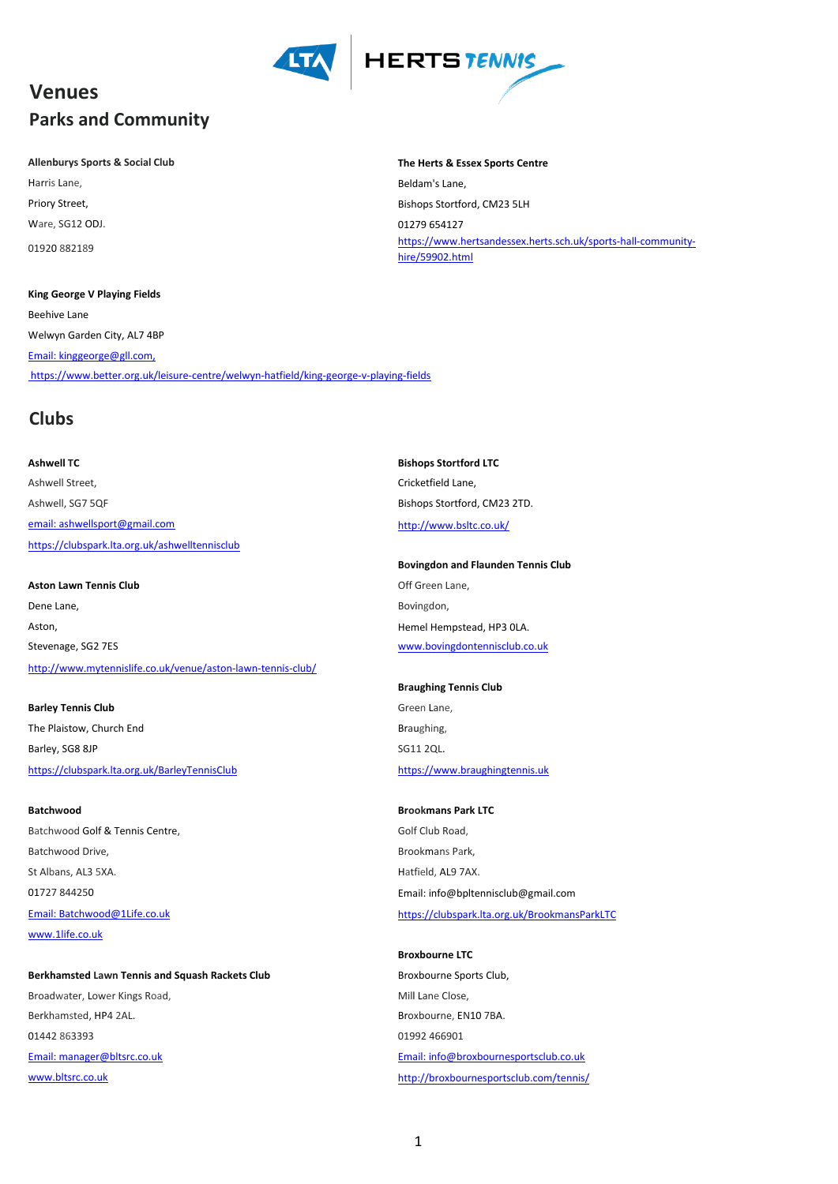

## **Venues Parks and Community**

## **Allenburys Sports & Social Club The Herts & Essex Sports Centre**

Ware, SG12 ODJ. 01279 654127 01920 882189

## **King George V Playing Fields**

Beehive Lane Welwyn Garden City, AL7 4BP [Email: kinggeorge@gll.com,](mailto:Email:%20kinggeorge@gll.com,) <https://www.better.org.uk/leisure-centre/welwyn-hatfield/king-george-v-playing-fields>

## **Clubs**

**Ashwell TC Bishops Stortford LTC** Ashwell Street, and the cricket of the Cricket field Lane, Ashwell, SG7 5QF Bishops Stortford, CM23 2TD. [email: ashwellsport@gmail.com](mailto:ashwellsport@gmail.com) <http://www.bsltc.co.uk/> <https://clubspark.lta.org.uk/ashwelltennisclub>

Aston Lawn Tennis Club **Aston Lawn Tennis Club** Channel Club Controller Controller Controller Controller Controller Controller Controller Controller Controller Controller Controller Controller Controller Controller Control Dene Lane, Bovingdon, Bovingdon, Bovingdon, Bovingdon, Bovingdon, Bovingdon, Bovingdon, Bovingdon, Bovingdon, Aston, The method of the matter of the matter of the method of the Hempstead, HP3 0LA. Stevenage, SG2 7ES [www.bovingdontennisclub.co.uk](http://www.bovingdontennisclub.co.uk/) <http://www.mytennislife.co.uk/venue/aston-lawn-tennis-club/>

**Barley Tennis Club** Green Lane, **Green Lane,** *Green Lane***,** *Green Lane, <b>Green* Lane, The Plaistow, Church End Braughing, and Braughing, and Braughing, and Braughing, and Braughing, and Braughing, Barley, SG8 8JP SG11 2QL. <https://clubspark.lta.org.uk/BarleyTennisClub> [https://www.braughingtennis.uk](https://www.braughingtennis.uk/)

Batchwood Golf & Tennis Centre, The Color Club Road, Golf Club Road, Batchwood Drive, and the extension of the Brookmans Park, and the Brookmans Park, St Albans, AL3 5XA. Hatfield, AL9 7AX. [www.1life.co.uk](http://www.1life.co.uk/)

Berkhamsted Lawn Tennis and Squash Rackets Club **Broxbourne Sports Club**, Broadwater, Lower Kings Road, The Cost of the Close of Mill Lane Close, Berkhamsted, HP4 2AL. Broxbourne, EN10 7BA. 01442 863393 01992 466901 [Email: manager@bltsrc.co.uk](mailto:manager@bltsrc.co.uk) [Email: info@broxbournesportsclub.co.uk](mailto:info@broxbournesportsclub.co.uk) [www.bltsrc.co.uk](http://www.bltsrc.co.uk/) <http://broxbournesportsclub.com/tennis/>

Harris Lane, **Beldam's Lane, Beldam's Lane**, Priory Street, **Bishops Stortford, CM23 5LH** [https://www.hertsa](https://www.hertsandessex.herts.sch.uk/sports-hall-community-hire/59902.html)ndessex.herts.sch.uk/sports-hall-community[hire/59902.html](https://www.hertsandessex.herts.sch.uk/sports-hall-community-hire/59902.html)

**Bovingdon and Flaunden Tennis Club**

**Braughing Tennis Club**

**Batchwood Brookmans Park LTC** 01727 844250 Email: info@bpltennisclub@gmail.com [Email: Batchwood@1Life.co.uk](mailto:Batchwood@1Life.co.uk) <https://clubspark.lta.org.uk/BrookmansParkLTC>

**Broxbourne LTC**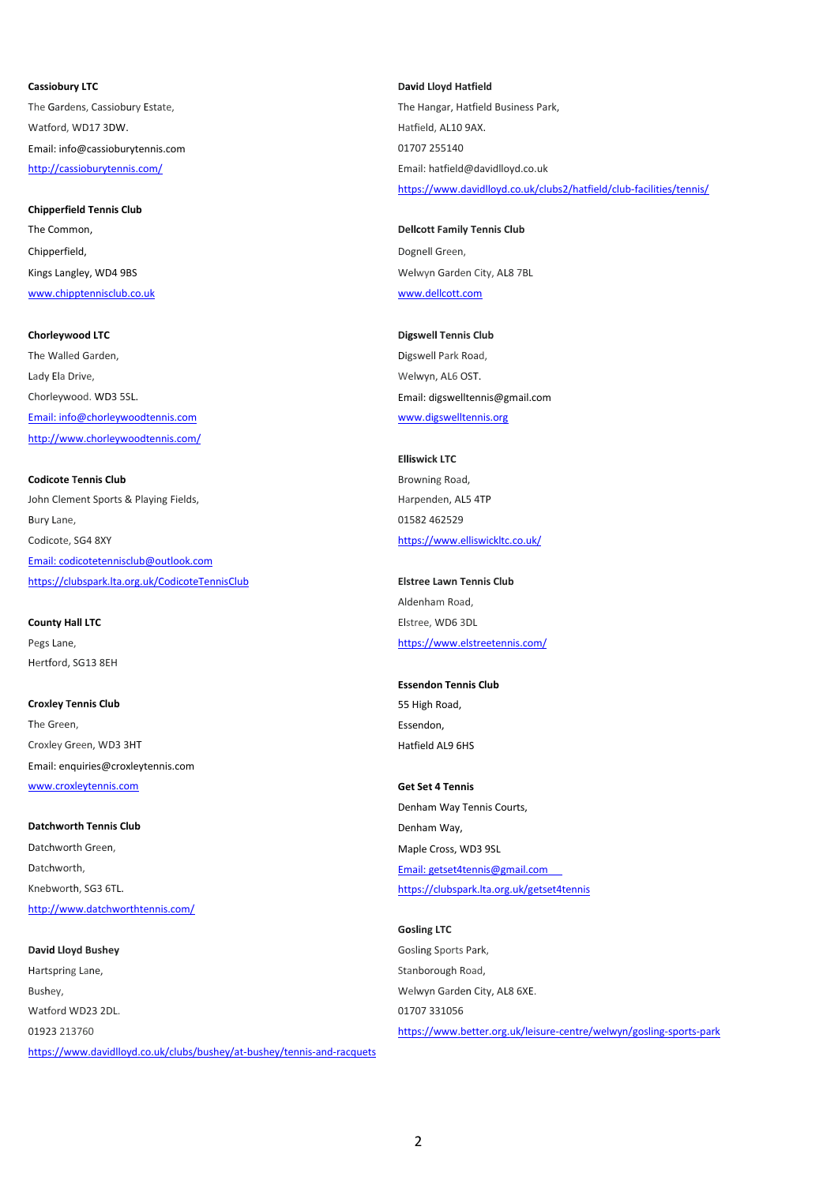Watford, WD17 3DW. Notice that the control of the control of the Hatfield, AL10 9AX. Email: info@cassioburytennis.com 01707 255140 <http://cassioburytennis.com/> Email: hatfield@davidlloyd.co.uk

## **Chipperfield Tennis Club**

Chipperfield, **Dognell Green**, **Dognell Green**, [www.chipptennisclub.co.uk](http://www.chipptennisclub.co.uk/) [www.dellcott.com](http://www.dellcott.com/)

The Walled Garden, The Walled Garden, and Digital Park Road, Digswell Park Road, Lady Ela Drive, and the control of the control of the Welwyn, AL6 OST. Chorleywood. WD3 5SL. Email: digswelltennis@gmail.com [Email: info@chorleywoodtennis.com](mailto:info@chorleywoodtennis.com) [www.digswelltennis.org](http://www.digswelltennis.org/) <http://www.chorleywoodtennis.com/>

## **Codicote Tennis Club** Browning Road,

John Clement Sports & Playing Fields, Harpenden, AL5 4TP Bury Lane, 01582 462529 Codicote, SG4 8XY <https://www.elliswickltc.co.uk/> [Email: codicotetennisclub@outlook.com](mailto:codicotetennisclub@outlook.com) <https://clubspark.lta.org.uk/CodicoteTennisClub> **Elstree Lawn Tennis Club**

## **County Hall LTC** Elstree, WD6 3DL

Hertford, SG13 8EH

**Croxley Tennis Club** 55 High Road, The Green, **Essendon, Example 2** and **Essendon**, **Essendon**, **Essendon,** Croxley Green, WD3 3HT Hatfield AL9 6HS Email: enquiries@croxleytennis.com [www.croxleytennis.com](http://www.croxleytennis.com/) **Get Set 4 Tennis** 

## **Datchworth Tennis Club** Denham Way, Datchworth Green, and the cost of the Cross of Maple Cross, WD3 9SL Datchworth, Email: getset4tennis@gmail.com <http://www.datchworthtennis.com/>

## **David Lloyd Bushey Gosling Sports Park, Community Construction Community Construction Community Construction** Hartspring Lane, The Communication of the Communication of the Stanborough Road, Bushey, Welwyn Garden City, AL8 6XE. Watford WD23 2DL. 01707 331056 01923 213760 <https://www.better.org.uk/leisure-centre/welwyn/gosling-sports-park> [https://www.david](https://www.davidlloyd.co.uk/clubs/bushey/at-bushey/tennis-and-racquets)lloyd.co.uk/clubs/bushey/at-bushey/tennis-and-racquets

**Cassiobury LTC David Lloyd Hatfield** The Gardens, Cassiobury Estate, The Hangar, Hatfield Business Park, The Hangar, Hatfield Business Park, <https://www.davidlloyd.co.uk/clubs2/hatfield/club-facilities/tennis/>

## The Common, **Dellcott Family Tennis Club Dellcott Family Tennis Club** Kings Langley, WD4 9BS Welwyn Garden City, AL8 7BL

# **Chorleywood LTC Digswell Tennis Club**

# **Elliswick LTC**

Aldenham Road, Pegs Lane, <https://www.elstreetennis.com/>

## **Essendon Tennis Club**

Denham Way Tennis Courts, Knebworth, SG3 6TL. <https://clubspark.lta.org.uk/getset4tennis>

## **Gosling LTC**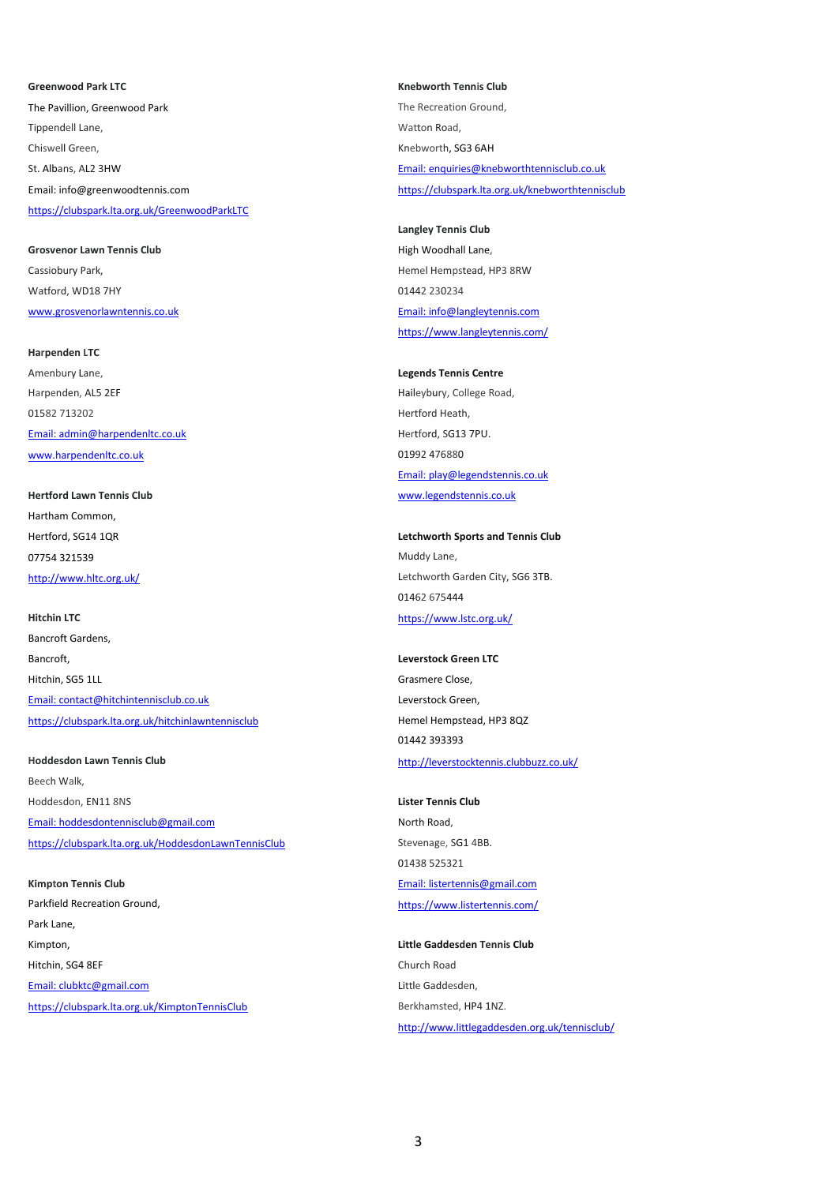The Pavillion, Greenwood Park The Recreation Ground, The Recreation Ground, Tippendell Lane, The Contract of the Contract of the Watton Road, Watton Road, Chiswell Green, Chiswell Green, Chiswell Green, Chiswell Green, Chiswell Green, Chiswell Green, Chiswell Green, Chiswell Green, Chiswell Green, Chiswell Green, Chiswell Green, Chiswell Green, Chiswell Green, Chiswell Green St. Albans, AL2 3HW Email: enquiries@knebworthtennisclub.co.uk Email: info@greenwoodtennis.com <https://clubspark.lta.org.uk/knebworthtennisclub> <https://clubspark.lta.org.uk/GreenwoodParkLTC>

**Grosvenor Lawn Tennis Club High Woodhall Lane,** Cassiobury Park, Theory of the Cassiobury Park, Theory of the Cassiobury Park, Hemel Hempstead, HP3 8RW Watford, WD18 7HY 01442 230234 [www.grosvenorlawntennis.co.uk](http://www.grosvenorlawntennis.co.uk/) Email: info@langleytennis.com

**Harpenden LTC** Amenbury Lane, **Legends Tennis Centre** Harpenden, AL5 2EF **Haileybury**, College Road, 01582 713202 Hertford Heath, [Email: admin@harpendenltc.co.uk](mailto:admin@harpendenltc.co.uk) hertford, SG13 7PU. [www.harpendenltc.co.uk](http://www.harpendenltc.co.uk/) 01992 476880

Hartham Common, 07754 321539 Muddy Lane,

**Hitchin LTC** <https://www.lstc.org.uk/> Bancroft Gardens, Bancroft, **Leverstock Green LTC** Hitchin, SG5 1LL Grasmere Close, [Email: contact@hitchintennisclub.co.uk](mailto:secretary@hitchintennisclub.co.uk) Leverstock Green, <https://clubspark.lta.org.uk/hitchinlawntennisclub> Hemel Hempstead, HP3 8QZ

**Hoddesdon Lawn Tennis Club** <http://leverstocktennis.clubbuzz.co.uk/> Beech Walk, Hoddesdon, EN11 8NS **Lister Tennis Club** [Email: hoddesdontennisclub@gmail.com](mailto:hoddesdontennisclub@gmail.com) North Road, <https://clubspark.lta.org.uk/HoddesdonLawnTennisClub> Stevenage, SG1 4BB.

Parkfield Recreation Ground, <https://www.listertennis.com/> Park Lane, Kimpton, **Little Gaddesden Tennis Club** Hitchin, SG4 8EF Church Road [Email: clubktc@gmail.com](mailto:clubktc@gmail.com) Little Gaddesden, <https://clubspark.lta.org.uk/KimptonTennisClub> Berkhamsted, HP4 1NZ.

**Greenwood Park LTC Knebworth Tennis Club**

**Langley Tennis Club** <https://www.langleytennis.com/>

Email: play@legendstennis.co.uk **Hertford Lawn Tennis Club** [www.legendstennis.co.uk](http://www.legendstennis.co.uk/)

Hertford, SG14 1QR **Letchworth Sports and Tennis Club** <http://www.hltc.org.uk/> Christian Muslim Christian Letchworth Garden City, SG6 3TB. 01462 675444

01442 393393

01438 525321 **Kimpton Tennis Club** [Email: listertennis@gmail.com](mailto:listertennis@gmail.com)

<http://www.littlegaddesden.org.uk/tennisclub/>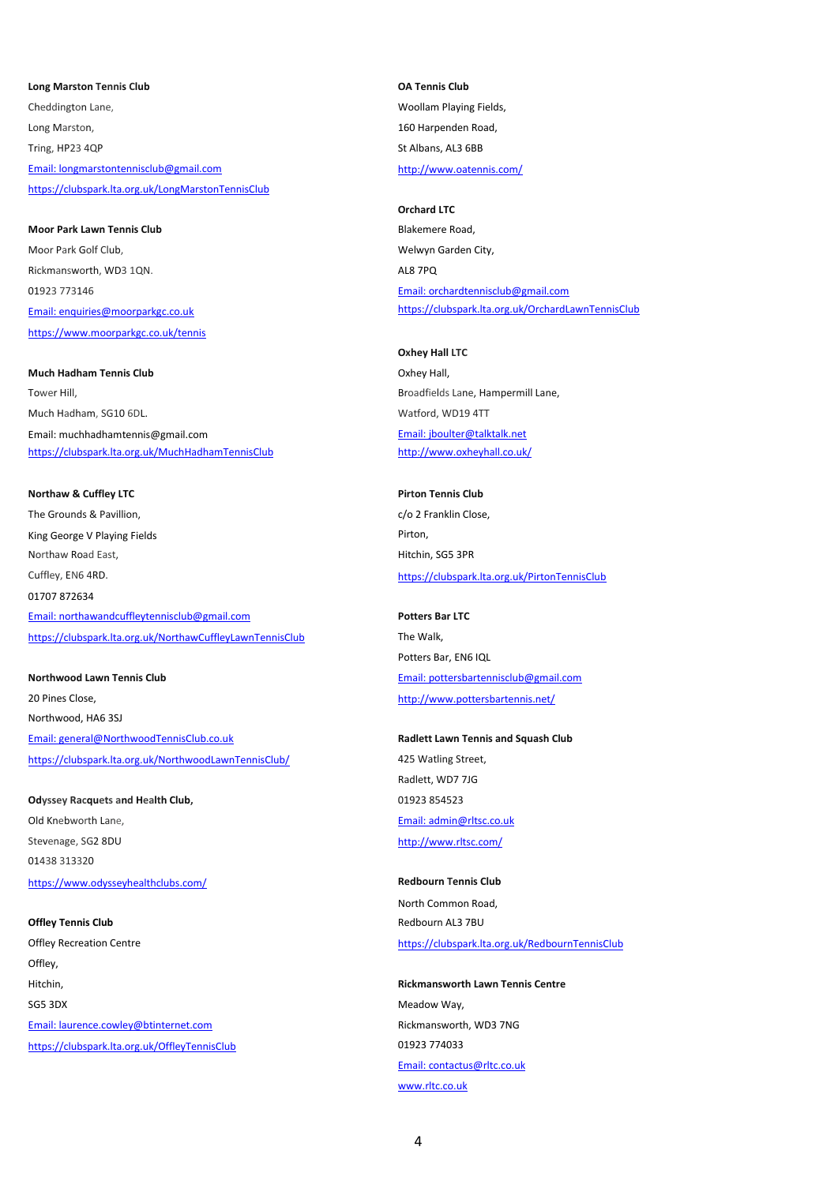**Long Marston Tennis Club OA Tennis Club** Cheddington Lane, Woollam Playing Fields, Long Marston, 160 Harpenden Road, Tring, HP23 4QP St Albans, AL3 6BB [Email: longmarstontennisclub@gmail.com](mailto:longmarstontennisclub@gmail.com) <http://www.oatennis.com/> <https://clubspark.lta.org.uk/LongMarstonTennisClub>

**Moor Park Lawn Tennis Club** Blakemere Road, Moor Park Golf Club, Welwyn Garden City, Rickmansworth, WD3 1QN. AL8 7PQ 01923 773146 [Email: orchardtennisclub@gmail.com](mailto:orchardtennisclub@gmail.com) <https://www.moorparkgc.co.uk/tennis>

## **Much Hadham Tennis Club Oxhey Hall, School Community Community** Oxhey Hall, Tower Hill, **Broadfields Lane, Hampermill Lane,** Broadfields Lane, Hampermill Lane,

Email: muchhadhamtennis@gmail.com et al. example and the state of the [Email: jboulter@talktalk.net](mailto:jboulter@talktalk.net) https://clubspark.lta.org.uk/MuchHadhamTennisClub

## **Northaw & Cuffley LTC Pictor Tennis Club Pirton Tennis Club**

The Grounds & Pavillion, The Grounds & Pavillion, Communications and Communications of the Cose, Communications of the Cose, King George V Playing Fields **Pickle Accord Pickle Pickle Pickle Pickle Pirton**, Northaw Road East, Northaw Road East, Northaw Road East, Northaw Road East, Northam Road East, Northam Road East, Northam Road East, Northam Road East, Northam Road East, Northam Road East, Northam Road East, Northam Road 01707 872634

[Email: northawandcuffleytennisclub@gmail.com](mailto:northawandcuffleytennisclub@gmail.com) **Potters Bar LTC** <https://clubspark.lta.org.uk/NorthawCuffleyLawnTennisClub> The Walk,

20 Pines Close, <http://www.pottersbartennis.net/> Northwood, HA6 3SJ [Email: general@NorthwoodTennisClub.co.uk](mailto:general@NorthwoodTennisClub.co.uk) **Radlett Lawn Tennis and Squash Club** <https://clubspark.lta.org.uk/NorthwoodLawnTennisClub/> 425 Watling Street,

## **Odyssey Racquets and Health Club, Case 2016 201923 854523**

Old Knebworth Lane, **Email:** admin@rltsc.co.uk Stevenage, SG2 8DU <http://www.rltsc.com/> 01438 313320 <https://www.odysseyhealthclubs.com/> **Redbourn Tennis Club** Redbourn Tennis Club

Offley, Hitchin, **Rickmansworth Lawn Tennis Centre** SG5 3DX Meadow Way, [Email: laurence.cowley@btinternet.com](mailto:laurence.cowley@btinternet.com) and research and research Rickmansworth, WD3 7NG <https://clubspark.lta.org.uk/OffleyTennisClub> 01923 774033

## **Orchard LTC**

[Email: enquiries@moorparkgc.co.uk](mailto:enquiries@moorparkgc.co.uk) <https://clubspark.lta.org.uk/OrchardLawnTennisClub>

**Oxhey Hall LTC** Much Hadham, SG10 6DL. Watford, WD19 4TT <http://www.oxheyhall.co.uk/>

Cuffley, EN6 4RD. <https://clubspark.lta.org.uk/PirtonTennisClub>

Potters Bar, EN6 IQL **Northwood Lawn Tennis Club** Email: pottersbartennisclub@gmail.com

Radlett, WD7 7JG

North Common Road, **Offley Tennis Club Club Club Club Club Redbourn AL3 7BU** Offley Recreation Centre <https://clubspark.lta.org.uk/RedbournTennisClub>

> [Email: contactus@rltc.co.uk](mailto:contactus@rltc.co.uk) [www.rltc.co.uk](http://www.rltc.co.uk/)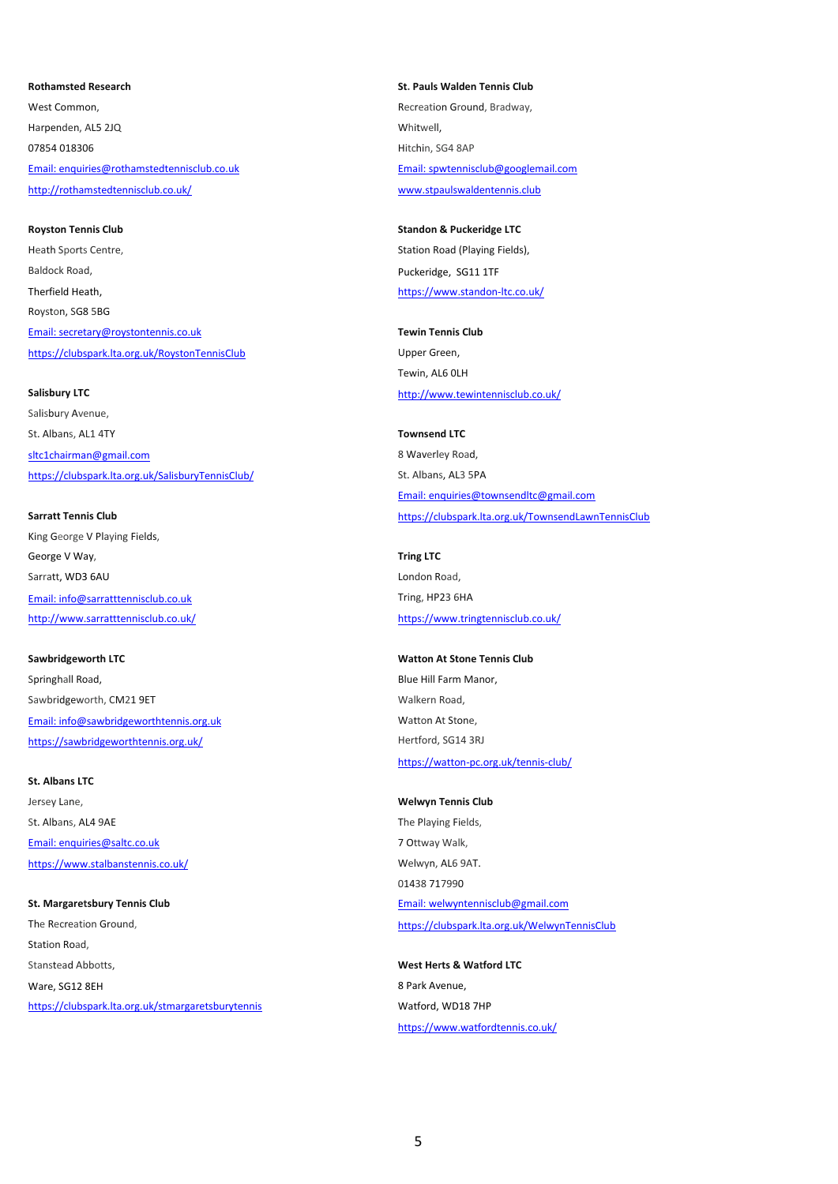West Common. **Recreation Ground, Bradway, Common, Common, Common, Common, Common, Common, Common, Common, Common** Harpenden, AL5 2JQ Whitwell, 07854 018306 Hitchin, SG4 8AP [Email: enquiries@rothamstedtennisclub.co.uk](mailto:enquiries@rothamstedtennisclub.co.uk) [Email: spwtennisclub@googlemail.com](mailto:spwtennisclub@googlemail.com) <http://rothamstedtennisclub.co.uk/> [www.stpaulswaldentennis.club](http://www.stpaulswaldentennis.club/)

**Royston Tennis Club Standon & Puckeridge LTC** Heath Sports Centre, The Station Road (Playing Fields), Station Road (Playing Fields), Baldock Road, **Puckeridge, SG11 1TF** Therfield Heath, <https://www.standon-ltc.co.uk/> Royston, SG8 5BG [Email: secretary@roystontennis.co.uk](mailto:roystontennis@gmail.com) **Tewin Tennis Club** <https://clubspark.lta.org.uk/RoystonTennisClub> Upper Green,

### **Salisbury LTC Salisbury LTC <http://www.tewintennisclub.co.uk/>**

Salisbury Avenue, St. Albans, AL1 4TY **Townsend LTC** [sltc1chairman@gmail.com](mailto:sltc1chairman@gmail.com) 8 Waverley Road, <https://clubspark.lta.org.uk/SalisburyTennisClub/> St. Albans, AL3 5PA

King George V Playing Fields, George V Way, **Tring LTC** Sarratt, WD3 6AU London Road, [Email: info@sarratttennisclub.co.uk](mailto:%20info@sarratttennisclub.co.uk) Tring, HP23 6HA <http://www.sarratttennisclub.co.uk/> <https://www.tringtennisclub.co.uk/>

Springhall Road, **Blue Hill Farm Manor**, **Blue Hill Farm Manor**, Sawbridgeworth, CM21 9ET Walkern Road, [Email: info@sawbridgeworthtennis.org.uk](mailto:info@sawbridgeworthtennis.co.uk) Matton At Stone,

<https://sawbridgeworthtennis.org.uk/> https://sawbridgeworthtennis.org.uk/

## **St. Albans LTC**

Jersey Lane, **Welwyn Tennis Club** St. Albans, AL4 9AE The Playing Fields, [Email: enquiries@saltc.co.uk](mailto:enquiries@saltc.co.uk) 7 Ottway Walk, <https://www.stalbanstennis.co.uk/> Welwyn, AL6 9AT.

Station Road, Stanstead Abbotts, **West Herts & Watford LTC** Ware, SG12 8EH 8 Park Avenue, <https://clubspark.lta.org.uk/stmargaretsburytennis> Watford, WD18 7HP

**Rothamsted Research St. Pauls Walden Tennis Club**

## Tewin, AL6 0LH

[Email: enquiries@townsendltc@gmail.com](mailto:enquiries@townsendltc@gmail.com) **Sarratt Tennis Club** <https://clubspark.lta.org.uk/TownsendLawnTennisClub>

# **Sawbridgeworth LTC Watton At Stone Tennis Club Watton At Stone Tennis Club**

<https://watton-pc.org.uk/tennis-club/>

01438 717990 **St. Margaretsbury Tennis Club [Email: welwyntennisclub@gmail.com](mailto:welwyntennisclub@gmail.com)** The Recreation Ground, <https://clubspark.lta.org.uk/WelwynTennisClub>

<https://www.watfordtennis.co.uk/>